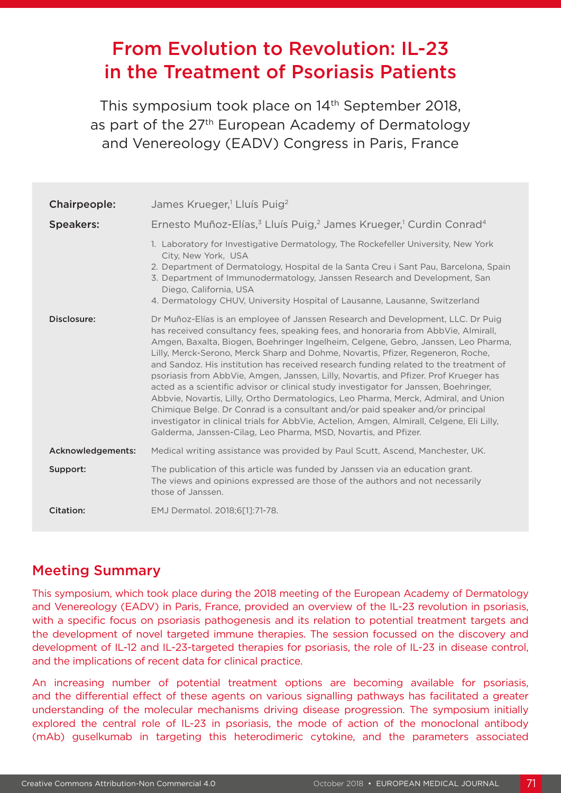# From Evolution to Revolution: IL-23 in the Treatment of Psoriasis Patients

This symposium took place on 14<sup>th</sup> September 2018, as part of the 27<sup>th</sup> European Academy of Dermatology and Venereology (EADV) Congress in Paris, France

| Chairpeople:      | James Krueger, <sup>1</sup> Lluís Puig <sup>2</sup>                                                                                                                                                                                                                                                                                                                                                                                                                                                                                                                                                                                                                                                                                                                                                                                                                                                                                                                |
|-------------------|--------------------------------------------------------------------------------------------------------------------------------------------------------------------------------------------------------------------------------------------------------------------------------------------------------------------------------------------------------------------------------------------------------------------------------------------------------------------------------------------------------------------------------------------------------------------------------------------------------------------------------------------------------------------------------------------------------------------------------------------------------------------------------------------------------------------------------------------------------------------------------------------------------------------------------------------------------------------|
| <b>Speakers:</b>  | Ernesto Muñoz-Elías, <sup>3</sup> Lluís Puig, <sup>2</sup> James Krueger, <sup>1</sup> Curdin Conrad <sup>4</sup>                                                                                                                                                                                                                                                                                                                                                                                                                                                                                                                                                                                                                                                                                                                                                                                                                                                  |
|                   | 1. Laboratory for Investigative Dermatology, The Rockefeller University, New York<br>City, New York, USA<br>2. Department of Dermatology, Hospital de la Santa Creu i Sant Pau, Barcelona, Spain<br>3. Department of Immunodermatology, Janssen Research and Development, San<br>Diego, California, USA<br>4. Dermatology CHUV, University Hospital of Lausanne, Lausanne, Switzerland                                                                                                                                                                                                                                                                                                                                                                                                                                                                                                                                                                             |
| Disclosure:       | Dr Muñoz-Elías is an employee of Janssen Research and Development, LLC. Dr Puig<br>has received consultancy fees, speaking fees, and honoraria from AbbVie, Almirall,<br>Amgen, Baxalta, Biogen, Boehringer Ingelheim, Celgene, Gebro, Janssen, Leo Pharma,<br>Lilly, Merck-Serono, Merck Sharp and Dohme, Novartis, Pfizer, Regeneron, Roche,<br>and Sandoz. His institution has received research funding related to the treatment of<br>psoriasis from AbbVie, Amgen, Janssen, Lilly, Novartis, and Pfizer. Prof Krueger has<br>acted as a scientific advisor or clinical study investigator for Janssen, Boehringer,<br>Abbyie, Novartis, Lilly, Ortho Dermatologics, Leo Pharma, Merck, Admiral, and Union<br>Chimique Belge. Dr Conrad is a consultant and/or paid speaker and/or principal<br>investigator in clinical trials for AbbVie, Actelion, Amgen, Almirall, Celgene, Eli Lilly,<br>Galderma, Janssen-Cilag, Leo Pharma, MSD, Novartis, and Pfizer. |
| Acknowledgements: | Medical writing assistance was provided by Paul Scutt, Ascend, Manchester, UK.                                                                                                                                                                                                                                                                                                                                                                                                                                                                                                                                                                                                                                                                                                                                                                                                                                                                                     |
| Support:          | The publication of this article was funded by Janssen via an education grant.<br>The views and opinions expressed are those of the authors and not necessarily<br>those of Janssen.                                                                                                                                                                                                                                                                                                                                                                                                                                                                                                                                                                                                                                                                                                                                                                                |
| Citation:         | EMJ Dermatol. 2018;6[1]:71-78.                                                                                                                                                                                                                                                                                                                                                                                                                                                                                                                                                                                                                                                                                                                                                                                                                                                                                                                                     |

### Meeting Summary

This symposium, which took place during the 2018 meeting of the European Academy of Dermatology and Venereology (EADV) in Paris, France, provided an overview of the IL-23 revolution in psoriasis, with a specific focus on psoriasis pathogenesis and its relation to potential treatment targets and the development of novel targeted immune therapies. The session focussed on the discovery and development of IL-12 and IL-23-targeted therapies for psoriasis, the role of IL-23 in disease control, and the implications of recent data for clinical practice.

An increasing number of potential treatment options are becoming available for psoriasis, and the differential effect of these agents on various signalling pathways has facilitated a greater understanding of the molecular mechanisms driving disease progression. The symposium initially explored the central role of IL-23 in psoriasis, the mode of action of the monoclonal antibody (mAb) guselkumab in targeting this heterodimeric cytokine, and the parameters associated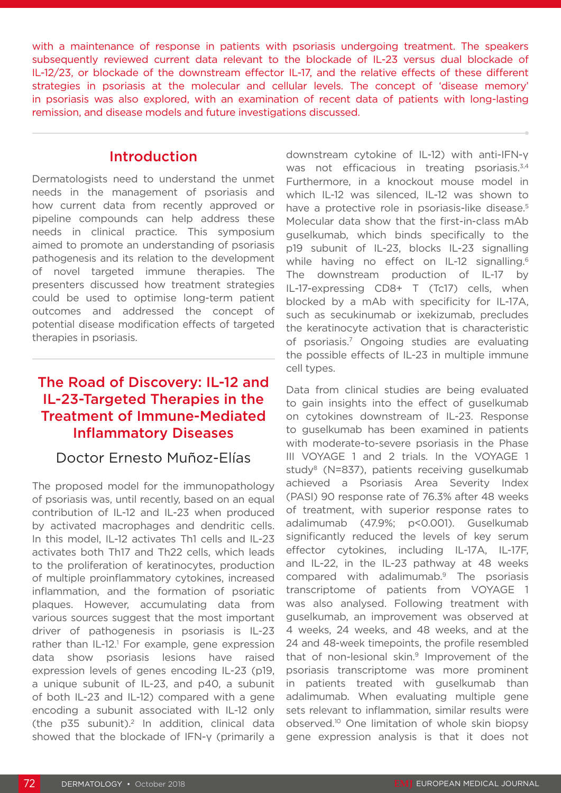with a maintenance of response in patients with psoriasis undergoing treatment. The speakers subsequently reviewed current data relevant to the blockade of IL-23 versus dual blockade of IL-12/23, or blockade of the downstream effector IL-17, and the relative effects of these different strategies in psoriasis at the molecular and cellular levels. The concept of 'disease memory' in psoriasis was also explored, with an examination of recent data of patients with long-lasting remission, and disease models and future investigations discussed.

#### Introduction

Dermatologists need to understand the unmet needs in the management of psoriasis and how current data from recently approved or pipeline compounds can help address these needs in clinical practice. This symposium aimed to promote an understanding of psoriasis pathogenesis and its relation to the development of novel targeted immune therapies. The presenters discussed how treatment strategies could be used to optimise long-term patient outcomes and addressed the concept of potential disease modification effects of targeted therapies in psoriasis.

## The Road of Discovery: IL-12 and IL-23-Targeted Therapies in the Treatment of Immune-Mediated Inflammatory Diseases

#### Doctor Ernesto Muñoz-Elías

The proposed model for the immunopathology of psoriasis was, until recently, based on an equal contribution of IL-12 and IL-23 when produced by activated macrophages and dendritic cells. In this model, IL-12 activates Th1 cells and IL-23 activates both Th17 and Th22 cells, which leads to the proliferation of keratinocytes, production of multiple proinflammatory cytokines, increased inflammation, and the formation of psoriatic plaques. However, accumulating data from various sources suggest that the most important driver of pathogenesis in psoriasis is IL-23 rather than IL-12.<sup>1</sup> For example, gene expression data show psoriasis lesions have raised expression levels of genes encoding IL-23 (p19, a unique subunit of IL-23, and p40, a subunit of both IL-23 and IL-12) compared with a gene encoding a subunit associated with IL-12 only (the  $p35$  subunit).<sup>2</sup> In addition, clinical data showed that the blockade of IFN-γ (primarily a

downstream cytokine of IL-12) with anti-IFN-γ was not efficacious in treating psoriasis.<sup>3,4</sup> Furthermore, in a knockout mouse model in which IL-12 was silenced, IL-12 was shown to have a protective role in psoriasis-like disease.<sup>5</sup> Molecular data show that the first-in-class mAb guselkumab, which binds specifically to the p19 subunit of IL-23, blocks IL-23 signalling while having no effect on IL-12 signalling.<sup>6</sup> The downstream production of IL-17 by IL-17-expressing CD8+ T (Tc17) cells, when blocked by a mAb with specificity for IL-17A, such as secukinumab or ixekizumab, precludes the keratinocyte activation that is characteristic of psoriasis.7 Ongoing studies are evaluating the possible effects of IL-23 in multiple immune cell types.

Data from clinical studies are being evaluated to gain insights into the effect of guselkumab on cytokines downstream of IL-23. Response to guselkumab has been examined in patients with moderate-to-severe psoriasis in the Phase III VOYAGE 1 and 2 trials. In the VOYAGE 1 study<sup>8</sup> (N=837), patients receiving guselkumab achieved a Psoriasis Area Severity Index (PASI) 90 response rate of 76.3% after 48 weeks of treatment, with superior response rates to adalimumab (47.9%; p<0.001). Guselkumab significantly reduced the levels of key serum effector cytokines, including IL-17A, IL-17F, and IL-22, in the IL-23 pathway at 48 weeks compared with adalimumab.9 The psoriasis transcriptome of patients from VOYAGE 1 was also analysed. Following treatment with guselkumab, an improvement was observed at 4 weeks, 24 weeks, and 48 weeks, and at the 24 and 48-week timepoints, the profile resembled that of non-lesional skin.9 Improvement of the psoriasis transcriptome was more prominent in patients treated with guselkumab than adalimumab. When evaluating multiple gene sets relevant to inflammation, similar results were observed.10 One limitation of whole skin biopsy gene expression analysis is that it does not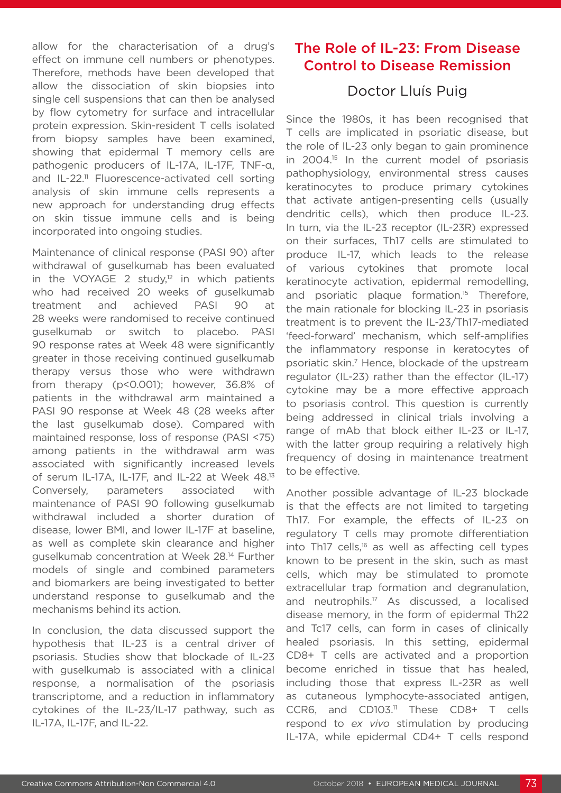allow for the characterisation of a drug's effect on immune cell numbers or phenotypes. Therefore, methods have been developed that allow the dissociation of skin biopsies into single cell suspensions that can then be analysed by flow cytometry for surface and intracellular protein expression. Skin-resident T cells isolated from biopsy samples have been examined, showing that epidermal T memory cells are pathogenic producers of IL-17A, IL-17F, TNF-α, and IL-22.<sup>11</sup> Fluorescence-activated cell sorting analysis of skin immune cells represents a new approach for understanding drug effects on skin tissue immune cells and is being incorporated into ongoing studies.

Maintenance of clinical response (PASI 90) after withdrawal of guselkumab has been evaluated in the VOYAGE 2 study, $12$  in which patients who had received 20 weeks of guselkumab treatment and achieved PASI 90 at 28 weeks were randomised to receive continued guselkumab or switch to placebo. PASI 90 response rates at Week 48 were significantly greater in those receiving continued guselkumab therapy versus those who were withdrawn from therapy (p<0.001); however, 36.8% of patients in the withdrawal arm maintained a PASI 90 response at Week 48 (28 weeks after the last guselkumab dose). Compared with maintained response, loss of response (PASI <75) among patients in the withdrawal arm was associated with significantly increased levels of serum IL-17A, IL-17F, and IL-22 at Week 48.13 Conversely, parameters associated with maintenance of PASI 90 following guselkumab withdrawal included a shorter duration of disease, lower BMI, and lower IL-17F at baseline, as well as complete skin clearance and higher guselkumab concentration at Week 28.14 Further models of single and combined parameters and biomarkers are being investigated to better understand response to guselkumab and the mechanisms behind its action.

In conclusion, the data discussed support the hypothesis that IL-23 is a central driver of psoriasis. Studies show that blockade of IL-23 with guselkumab is associated with a clinical response, a normalisation of the psoriasis transcriptome, and a reduction in inflammatory cytokines of the IL-23/IL-17 pathway, such as IL-17A, IL-17F, and IL-22.

## The Role of IL-23: From Disease Control to Disease Remission

### Doctor Lluís Puig

Since the 1980s, it has been recognised that T cells are implicated in psoriatic disease, but the role of IL-23 only began to gain prominence in 2004.<sup>15</sup> In the current model of psoriasis pathophysiology, environmental stress causes keratinocytes to produce primary cytokines that activate antigen-presenting cells (usually dendritic cells), which then produce IL-23. In turn, via the IL-23 receptor (IL-23R) expressed on their surfaces, Th17 cells are stimulated to produce IL-17, which leads to the release of various cytokines that promote local keratinocyte activation, epidermal remodelling, and psoriatic plaque formation.<sup>15</sup> Therefore, the main rationale for blocking IL-23 in psoriasis treatment is to prevent the IL-23/Th17-mediated 'feed-forward' mechanism, which self-amplifies the inflammatory response in keratocytes of psoriatic skin.7 Hence, blockade of the upstream regulator (IL-23) rather than the effector (IL-17) cytokine may be a more effective approach to psoriasis control. This question is currently being addressed in clinical trials involving a range of mAb that block either IL-23 or IL-17, with the latter group requiring a relatively high frequency of dosing in maintenance treatment to be effective.

Another possible advantage of IL-23 blockade is that the effects are not limited to targeting Th17. For example, the effects of IL-23 on regulatory T cells may promote differentiation into Th17 cells, $16$  as well as affecting cell types known to be present in the skin, such as mast cells, which may be stimulated to promote extracellular trap formation and degranulation, and neutrophils.<sup>17</sup> As discussed, a localised disease memory, in the form of epidermal Th22 and Tc17 cells, can form in cases of clinically healed psoriasis. In this setting, epidermal CD8+ T cells are activated and a proportion become enriched in tissue that has healed, including those that express IL-23R as well as cutaneous lymphocyte-associated antigen, CCR6, and CD103.<sup>11</sup> These CD8+ T cells respond to *ex vivo* stimulation by producing IL-17A, while epidermal CD4+ T cells respond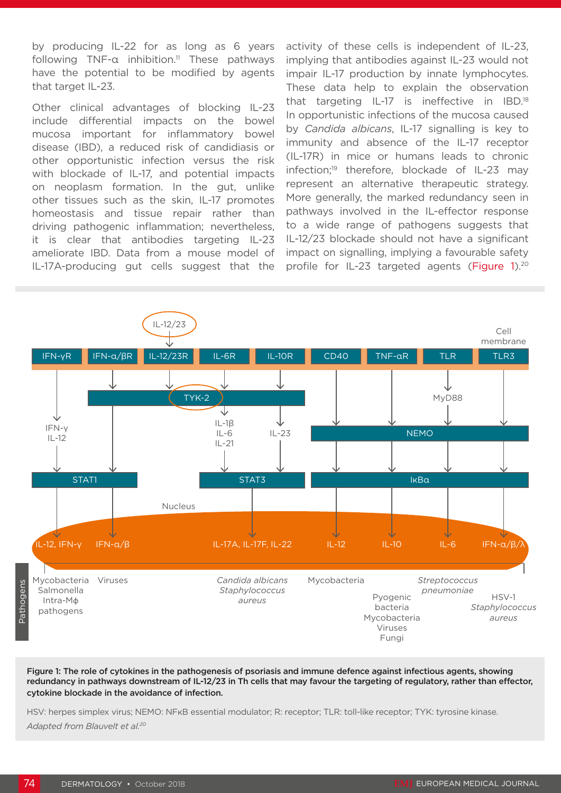by producing IL-22 for as long as 6 years following  $TNF-a$  inhibition.<sup>11</sup> These pathways have the potential to be modified by agents that target IL-23.

Other clinical advantages of blocking IL-23 include differential impacts on the bowel mucosa important for inflammatory bowel disease (IBD), a reduced risk of candidiasis or other opportunistic infection versus the risk with blockade of IL-17, and potential impacts on neoplasm formation. In the gut, unlike other tissues such as the skin, IL-17 promotes homeostasis and tissue repair rather than driving pathogenic inflammation; nevertheless, it is clear that antibodies targeting IL-23 ameliorate IBD. Data from a mouse model of IL-17A-producing gut cells suggest that the

activity of these cells is independent of IL-23, implying that antibodies against IL-23 would not impair IL-17 production by innate lymphocytes. These data help to explain the observation that targeting IL-17 is ineffective in IBD.18 In opportunistic infections of the mucosa caused by *Candida albicans*, IL-17 signalling is key to immunity and absence of the IL-17 receptor (IL-17R) in mice or humans leads to chronic infection;<sup>19</sup> therefore, blockade of IL-23 may represent an alternative therapeutic strategy. More generally, the marked redundancy seen in pathways involved in the IL-effector response to a wide range of pathogens suggests that IL-12/23 blockade should not have a significant impact on signalling, implying a favourable safety profile for IL-23 targeted agents (Figure 1).<sup>20</sup>



Figure 1: The role of cytokines in the pathogenesis of psoriasis and immune defence against infectious agents, showing redundancy in pathways downstream of IL-12/23 in Th cells that may favour the targeting of regulatory, rather than effector, cytokine blockade in the avoidance of infection.

HSV: herpes simplex virus; NEMO: NFKB essential modulator; R: receptor; TLR: toll-like receptor; TYK: tyrosine kinase. *Adapted from Blauvelt et al.20*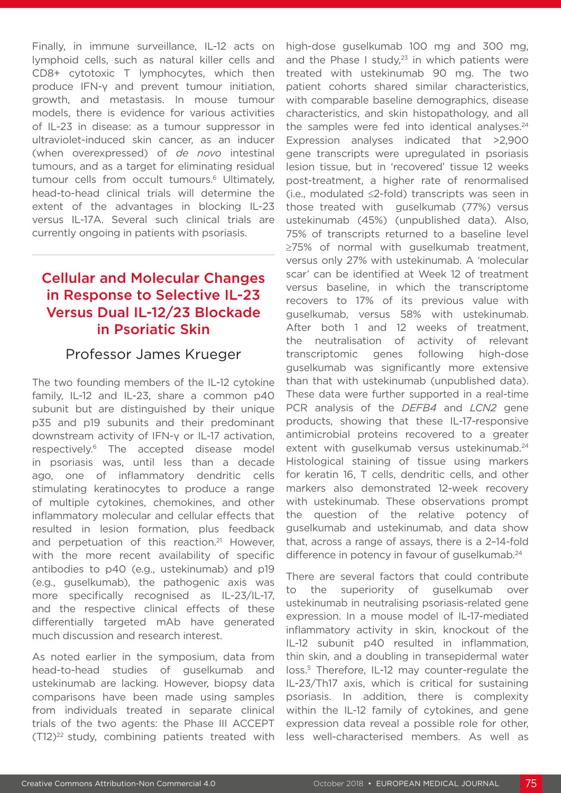Finally, in immune surveillance, IL-12 acts on lymphoid cells, such as natural killer cells and CD8+ cytotoxic T lymphocytes, which then produce IFN-γ and prevent tumour initiation, growth, and metastasis. In mouse tumour models, there is evidence for various activities of IL-23 in disease: as a tumour suppressor in ultraviolet-induced skin cancer, as an inducer (when overexpressed) of *de novo* intestinal tumours, and as a target for eliminating residual tumour cells from occult tumours.<sup>6</sup> Ultimately, head-to-head clinical trials will determine the extent of the advantages in blocking IL-23 versus IL-17A. Several such clinical trials are currently ongoing in patients with psoriasis.

## Cellular and Molecular Changes in Response to Selective IL-23 Versus Dual IL-12/23 Blockade in Psoriatic Skin

#### Professor James Krueger

The two founding members of the IL-12 cytokine family, IL-12 and IL-23, share a common p40 subunit but are distinguished by their unique p35 and p19 subunits and their predominant downstream activity of IFN-γ or IL-17 activation, respectively.6 The accepted disease model in psoriasis was, until less than a decade ago, one of inflammatory dendritic cells stimulating keratinocytes to produce a range of multiple cytokines, chemokines, and other inflammatory molecular and cellular effects that resulted in lesion formation, plus feedback and perpetuation of this reaction.<sup>21</sup> However, with the more recent availability of specific antibodies to p40 (e.g., ustekinumab) and p19 (e.g., guselkumab), the pathogenic axis was more specifically recognised as IL-23/IL-17, and the respective clinical effects of these differentially targeted mAb have generated much discussion and research interest.

As noted earlier in the symposium, data from head-to-head studies of guselkumab and ustekinumab are lacking. However, biopsy data comparisons have been made using samples from individuals treated in separate clinical trials of the two agents: the Phase III ACCEPT  $(T12)^{22}$  study, combining patients treated with

high-dose guselkumab 100 mg and 300 mg, and the Phase I study, $23$  in which patients were treated with ustekinumab 90 mg. The two patient cohorts shared similar characteristics, with comparable baseline demographics, disease characteristics, and skin histopathology, and all the samples were fed into identical analyses. $24$ Expression analyses indicated that >2,900 gene transcripts were upregulated in psoriasis lesion tissue, but in 'recovered' tissue 12 weeks post-treatment, a higher rate of renormalised (i.e., modulated ≤2-fold) transcripts was seen in those treated with guselkumab (77%) versus ustekinumab (45%) (unpublished data). Also, 75% of transcripts returned to a baseline level ≥75% of normal with guselkumab treatment, versus only 27% with ustekinumab. A 'molecular scar' can be identified at Week 12 of treatment versus baseline, in which the transcriptome recovers to 17% of its previous value with guselkumab, versus 58% with ustekinumab. After both 1 and 12 weeks of treatment. the neutralisation of activity of relevant transcriptomic genes following high-dose guselkumab was significantly more extensive than that with ustekinumab (unpublished data). These data were further supported in a real-time PCR analysis of the *DEFB4* and *LCN2* gene products, showing that these IL-17-responsive antimicrobial proteins recovered to a greater extent with guselkumab versus ustekinumab.<sup>24</sup> Histological staining of tissue using markers for keratin 16, T cells, dendritic cells, and other markers also demonstrated 12-week recovery with ustekinumab. These observations prompt the question of the relative potency of guselkumab and ustekinumab, and data show that, across a range of assays, there is a 2–14-fold difference in potency in favour of guselkumab.<sup>24</sup>

There are several factors that could contribute to the superiority of guselkumab over ustekinumab in neutralising psoriasis-related gene expression. In a mouse model of IL-17-mediated inflammatory activity in skin, knockout of the IL-12 subunit p40 resulted in inflammation, thin skin, and a doubling in transepidermal water loss.5 Therefore, IL-12 may counter-regulate the IL-23/Th17 axis, which is critical for sustaining psoriasis. In addition, there is complexity within the IL-12 family of cytokines, and gene expression data reveal a possible role for other, less well-characterised members. As well as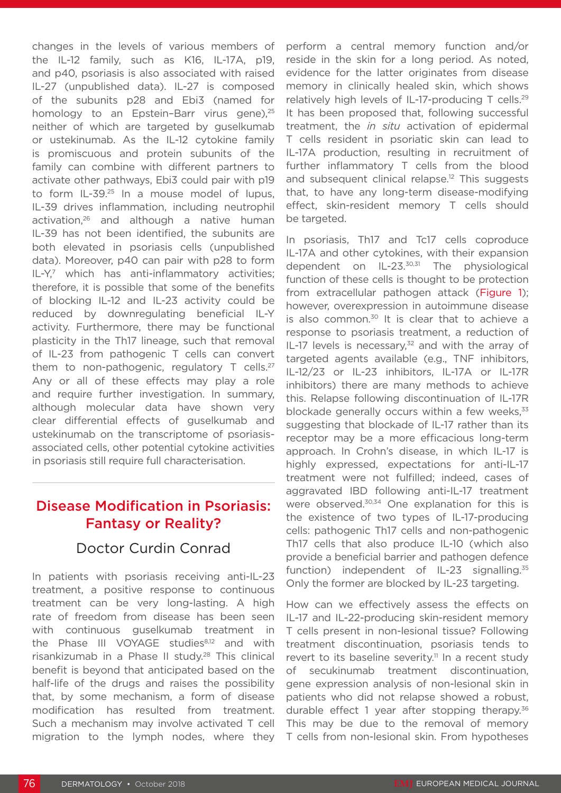changes in the levels of various members of the IL-12 family, such as K16, IL-17A, p19, and p40, psoriasis is also associated with raised IL-27 (unpublished data). IL-27 is composed of the subunits p28 and Ebi3 (named for homology to an Epstein-Barr virus gene),<sup>25</sup> neither of which are targeted by guselkumab or ustekinumab. As the IL-12 cytokine family is promiscuous and protein subunits of the family can combine with different partners to activate other pathways, Ebi3 could pair with p19 to form IL-39.<sup>25</sup> In a mouse model of lupus, IL-39 drives inflammation, including neutrophil activation,<sup>26</sup> and although a native human IL-39 has not been identified, the subunits are both elevated in psoriasis cells (unpublished data). Moreover, p40 can pair with p28 to form  $IL-Y<sub>i</sub>$ <sup>7</sup> which has anti-inflammatory activities; therefore, it is possible that some of the benefits of blocking IL-12 and IL-23 activity could be reduced by downregulating beneficial IL-Y activity. Furthermore, there may be functional plasticity in the Th17 lineage, such that removal of IL-23 from pathogenic T cells can convert them to non-pathogenic, regulatory  $T$  cells.<sup>27</sup> Any or all of these effects may play a role and require further investigation. In summary, although molecular data have shown very clear differential effects of guselkumab and ustekinumab on the transcriptome of psoriasisassociated cells, other potential cytokine activities in psoriasis still require full characterisation.

#### Disease Modification in Psoriasis: Fantasy or Reality?

#### Doctor Curdin Conrad

In patients with psoriasis receiving anti-IL-23 treatment, a positive response to continuous treatment can be very long-lasting. A high rate of freedom from disease has been seen with continuous guselkumab treatment in the Phase III VOYAGE studies<sup>8,12</sup> and with risankizumab in a Phase II study.<sup>28</sup> This clinical benefit is beyond that anticipated based on the half-life of the drugs and raises the possibility that, by some mechanism, a form of disease modification has resulted from treatment. Such a mechanism may involve activated T cell migration to the lymph nodes, where they perform a central memory function and/or reside in the skin for a long period. As noted, evidence for the latter originates from disease memory in clinically healed skin, which shows relatively high levels of IL-17-producing T cells.<sup>29</sup> It has been proposed that, following successful treatment, the *in situ* activation of epidermal T cells resident in psoriatic skin can lead to IL-17A production, resulting in recruitment of further inflammatory T cells from the blood and subsequent clinical relapse.<sup>12</sup> This suggests that, to have any long-term disease-modifying effect, skin-resident memory T cells should be targeted.

In psoriasis, Th17 and Tc17 cells coproduce IL-17A and other cytokines, with their expansion dependent on IL-23.30,31 The physiological function of these cells is thought to be protection from extracellular pathogen attack (Figure 1); however, overexpression in autoimmune disease is also common.<sup>30</sup> It is clear that to achieve a response to psoriasis treatment, a reduction of IL-17 levels is necessary.<sup>32</sup> and with the array of targeted agents available (e.g., TNF inhibitors, IL-12/23 or IL-23 inhibitors, IL-17A or IL-17R inhibitors) there are many methods to achieve this. Relapse following discontinuation of IL-17R blockade generally occurs within a few weeks, $33$ suggesting that blockade of IL-17 rather than its receptor may be a more efficacious long-term approach. In Crohn's disease, in which IL-17 is highly expressed, expectations for anti-IL-17 treatment were not fulfilled; indeed, cases of aggravated IBD following anti-IL-17 treatment were observed.<sup>30,34</sup> One explanation for this is the existence of two types of IL-17-producing cells: pathogenic Th17 cells and non-pathogenic Th17 cells that also produce IL-10 (which also provide a beneficial barrier and pathogen defence function) independent of IL-23 signalling.<sup>35</sup> Only the former are blocked by IL-23 targeting.

How can we effectively assess the effects on IL-17 and IL-22-producing skin-resident memory T cells present in non-lesional tissue? Following treatment discontinuation, psoriasis tends to revert to its baseline severity.<sup>11</sup> In a recent study of secukinumab treatment discontinuation, gene expression analysis of non-lesional skin in patients who did not relapse showed a robust, durable effect 1 year after stopping therapy.36 This may be due to the removal of memory T cells from non-lesional skin. From hypotheses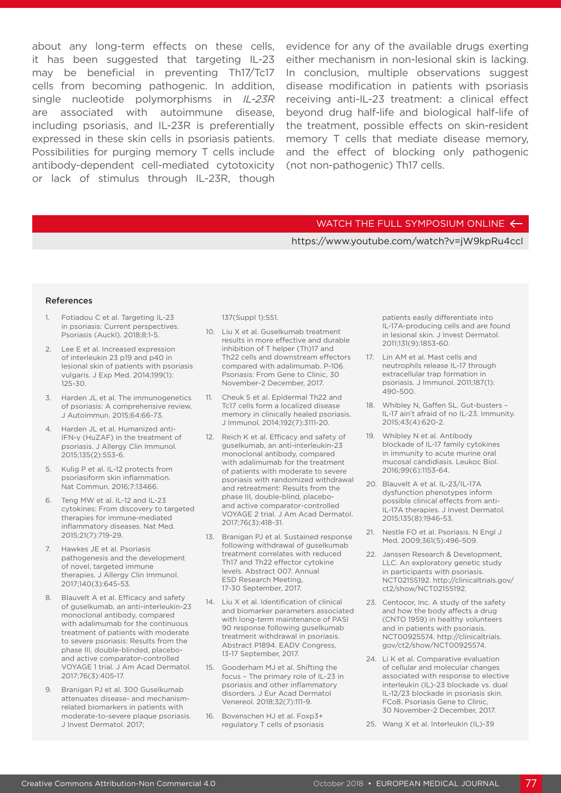may be beneficial in preventing Th17/Tc17 cells from becoming pathogenic. In addition, single nucleotide polymorphisms in *IL-23R* are associated with autoimmune disease, including psoriasis, and IL-23R is preferentially expressed in these skin cells in psoriasis patients. Possibilities for purging memory T cells include antibody-dependent cell-mediated cytotoxicity or lack of stimulus through IL-23R, though

about any long-term effects on these cells, evidence for any of the available drugs exerting it has been suggested that targeting IL-23 either mechanism in non-lesional skin is lacking. In conclusion, multiple observations suggest disease modification in patients with psoriasis receiving anti-IL-23 treatment: a clinical effect beyond drug half-life and biological half-life of the treatment, possible effects on skin-resident memory T cells that mediate disease memory, and the effect of blocking only pathogenic (not non-pathogenic) Th17 cells.

#### WATCH THE FULL SYMPOSIUM ONLINE  $\leftarrow$

#### https://www.youtube.com/watch?v=jW9kpRu4ccI

#### References

- 1. Fotiadou C et al. Targeting IL-23 in psoriasis: Current perspectives. Psoriasis (Auckl). 2018;8:1-5.
- 2. Lee E et al. Increased expression of interleukin 23 p19 and p40 in lesional skin of patients with psoriasis vulgaris. J Exp Med. 2014;199(1): 125-30.
- 3. Harden JL et al. The immunogenetics of psoriasis: A comprehensive review. J Autoimmun. 2015;64:66-73.
- 4. Harden JL et al. Humanized anti-IFN-γ (HuZAF) in the treatment of psoriasis. J Allergy Clin Immunol. 2015;135(2):553-6.
- 5. Kulig P et al. IL-12 protects from psoriasiform skin inflammation. Nat Commun. 2016;7:13466.
- 6. Teng MW et al. IL-12 and IL-23 cytokines: From discovery to targeted therapies for immune-mediated inflammatory diseases. Nat Med. 2015;21(7):719-29.
- 7. Hawkes JE et al. Psoriasis pathogenesis and the development of novel, targeted immune therapies. J Allergy Clin Immunol. 2017;140(3):645-53.
- 8. Blauvelt A et al. Efficacy and safety of guselkumab, an anti-interleukin-23 monoclonal antibody, compared with adalimumab for the continuous treatment of patients with moderate to severe psoriasis: Results from the phase III, double-blinded, placeboand active comparator-controlled VOYAGE 1 trial. J Am Acad Dermatol. 2017;76(3):405-17.
- 9. Branigan PJ et al. 300 Guselkumab attenuates disease- and mechanismrelated biomarkers in patients with moderate-to-severe plaque psoriasis. J Invest Dermatol. 2017;

137(Suppl 1):S51.

- 10. Liu X et al. Guselkumab treatment results in more effective and durable inhibition of T helper (Th)17 and Th22 cells and downstream effectors compared with adalimumab. P-106. Psoriasis: From Gene to Clinic, 30 November-2 December, 2017.
- 11. Cheuk S et al. Epidermal Th22 and Tc17 cells form a localized disease memory in clinically healed psoriasis. J Immunol. 2014;192(7):3111-20.
- 12. Reich K et al. Efficacy and safety of guselkumab, an anti-interleukin-23 monoclonal antibody, compared with adalimumab for the treatment of patients with moderate to severe psoriasis with randomized withdrawal and retreatment: Results from the phase III, double-blind, placeboand active comparator-controlled VOYAGE 2 trial. J Am Acad Dermatol. 2017;76(3):418-31.
- 13. Branigan PJ et al. Sustained response following withdrawal of guselkumab treatment correlates with reduced Th17 and Th22 effector cytokine levels. Abstract 007. Annual ESD Research Meeting, 17-30 September, 2017.
- 14. Liu X et al. Identification of clinical and biomarker parameters associated with long-term maintenance of PASI 90 response following guselkumab treatment withdrawal in psoriasis. Abstract P1894. EADV Congress, 13-17 September, 2017.
- 15. Gooderham MJ et al. Shifting the focus – The primary role of IL-23 in psoriasis and other inflammatory disorders. J Eur Acad Dermatol Venereol. 2018;32(7):111-9.
- 16. Bovenschen HJ et al. Foxp3+ regulatory T cells of psoriasis

patients easily differentiate into IL-17A-producing cells and are found in lesional skin. J Invest Dermatol. 2011;131(9):1853-60.

- 17. Lin AM et al. Mast cells and neutrophils release IL-17 through extracellular trap formation in psoriasis. J Immunol. 2011;187(1): 490-500.
- 18. Whibley N, Gaffen SL. Gut-busters IL-17 ain't afraid of no IL-23. Immunity. 2015;43(4):620-2.
- 19. Whibley N et al. Antibody blockade of IL-17 family cytokines in immunity to acute murine oral mucosal candidiasis. Leukoc Biol. 2016;99(6):1153-64.
- 20. Blauvelt A et al. IL-23/IL-17A dysfunction phenotypes inform possible clinical effects from anti-IL-17A therapies. J Invest Dermatol. 2015;135(8):1946-53.
- 21. Nestle FO et al. Psoriasis. N Engl J Med. 2009;361(5):496-509.
- 22. Janssen Research & Development, LLC. An exploratory genetic study in participants with psoriasis. NCT02155192. http://clinicaltrials.gov/ ct2/show/NCT02155192.
- 23. Centocor, Inc. A study of the safety and how the body affects a drug (CNTO 1959) in healthy volunteers and in patients with psoriasis. NCT00925574. http://clinicaltrials. gov/ct2/show/NCT00925574.
- 24. Li K et al. Comparative evaluation of cellular and molecular changes associated with response to elective interleukin (IL)-23 blockade vs. dual IL-12/23 blockade in psoriasis skin. FCo8. Psoriasis Gene to Clinic, 30 November-2 December, 2017.
- 25. Wang X et al. Interleukin (IL)-39